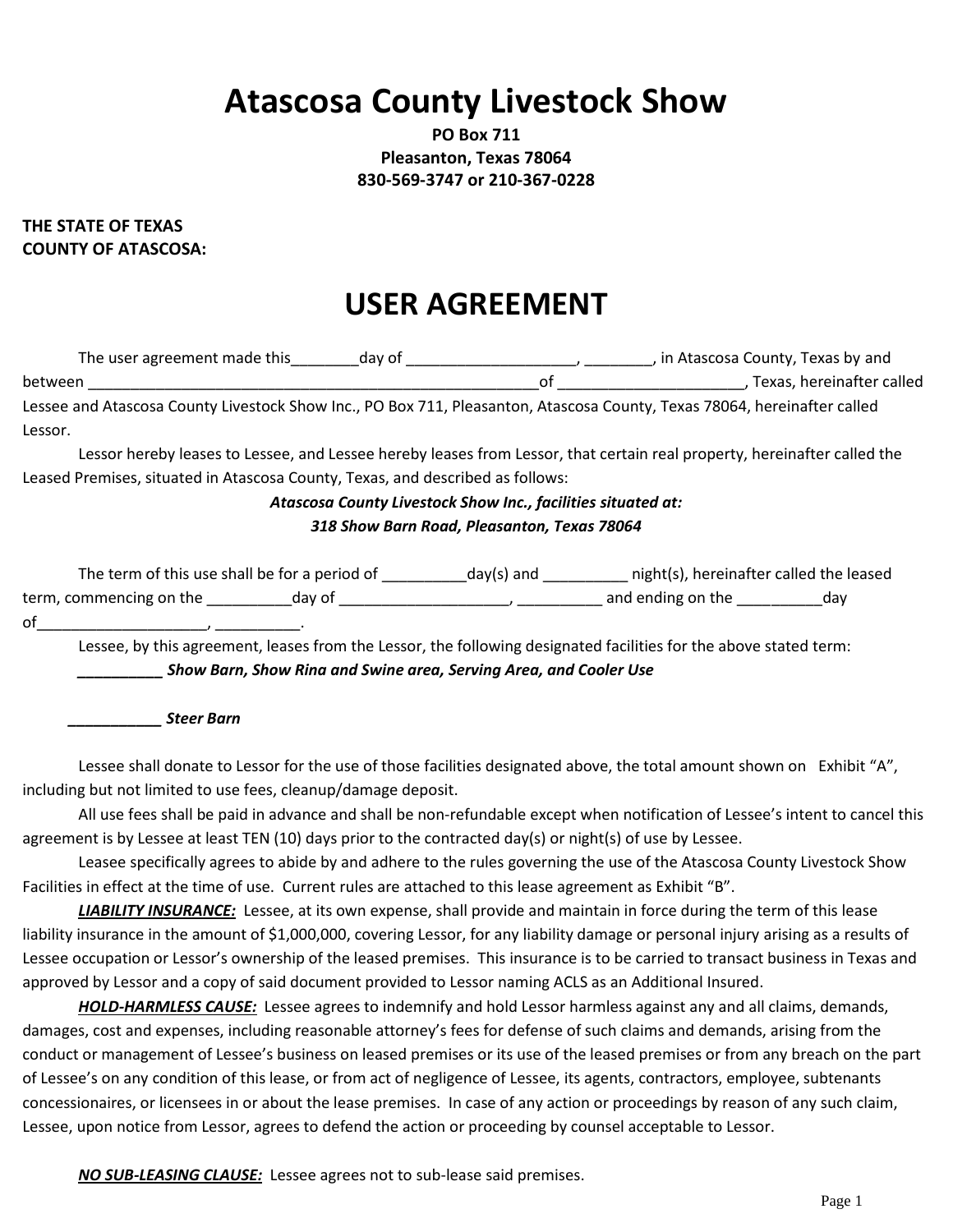# **Atascosa County Livestock Show**

**PO Box 711 Pleasanton, Texas 78064 830-569-3747 or 210-367-0228**

#### **THE STATE OF TEXAS COUNTY OF ATASCOSA:**

## **USER AGREEMENT**

| The user agreement made this<br>day of                                                                                   |    | , in Atascosa County, Texas by and |
|--------------------------------------------------------------------------------------------------------------------------|----|------------------------------------|
| between                                                                                                                  | nt | Texas, hereinafter called          |
| Lessee and Atascosa County Livestock Show Inc., PO Box 711, Pleasanton, Atascosa County, Texas 78064, hereinafter called |    |                                    |
| Lessor.                                                                                                                  |    |                                    |

Lessor hereby leases to Lessee, and Lessee hereby leases from Lessor, that certain real property, hereinafter called the Leased Premises, situated in Atascosa County, Texas, and described as follows:

#### *Atascosa County Livestock Show Inc., facilities situated at:*

#### *318 Show Barn Road, Pleasanton, Texas 78064*

| The term of this use shall be for a period of |        | day(s) and | night(s), hereinafter called the leased |     |
|-----------------------------------------------|--------|------------|-----------------------------------------|-----|
| term, commencing on the                       | day of |            | and ending on the                       | dav |
| of                                            |        |            |                                         |     |

Lessee, by this agreement, leases from the Lessor, the following designated facilities for the above stated term: *\_\_\_\_\_\_\_\_\_\_ Show Barn, Show Rina and Swine area, Serving Area, and Cooler Use*

 *\_\_\_\_\_\_\_\_\_\_\_ Steer Barn*

Lessee shall donate to Lessor for the use of those facilities designated above, the total amount shown on Exhibit "A", including but not limited to use fees, cleanup/damage deposit.

All use fees shall be paid in advance and shall be non-refundable except when notification of Lessee's intent to cancel this agreement is by Lessee at least TEN (10) days prior to the contracted day(s) or night(s) of use by Lessee.

Leasee specifically agrees to abide by and adhere to the rules governing the use of the Atascosa County Livestock Show Facilities in effect at the time of use. Current rules are attached to this lease agreement as Exhibit "B".

*LIABILITY INSURANCE:* Lessee, at its own expense, shall provide and maintain in force during the term of this lease liability insurance in the amount of \$1,000,000, covering Lessor, for any liability damage or personal injury arising as a results of Lessee occupation or Lessor's ownership of the leased premises. This insurance is to be carried to transact business in Texas and approved by Lessor and a copy of said document provided to Lessor naming ACLS as an Additional Insured.

*HOLD-HARMLESS CAUSE:* Lessee agrees to indemnify and hold Lessor harmless against any and all claims, demands, damages, cost and expenses, including reasonable attorney's fees for defense of such claims and demands, arising from the conduct or management of Lessee's business on leased premises or its use of the leased premises or from any breach on the part of Lessee's on any condition of this lease, or from act of negligence of Lessee, its agents, contractors, employee, subtenants concessionaires, or licensees in or about the lease premises. In case of any action or proceedings by reason of any such claim, Lessee, upon notice from Lessor, agrees to defend the action or proceeding by counsel acceptable to Lessor.

*NO SUB-LEASING CLAUSE:* Lessee agrees not to sub-lease said premises.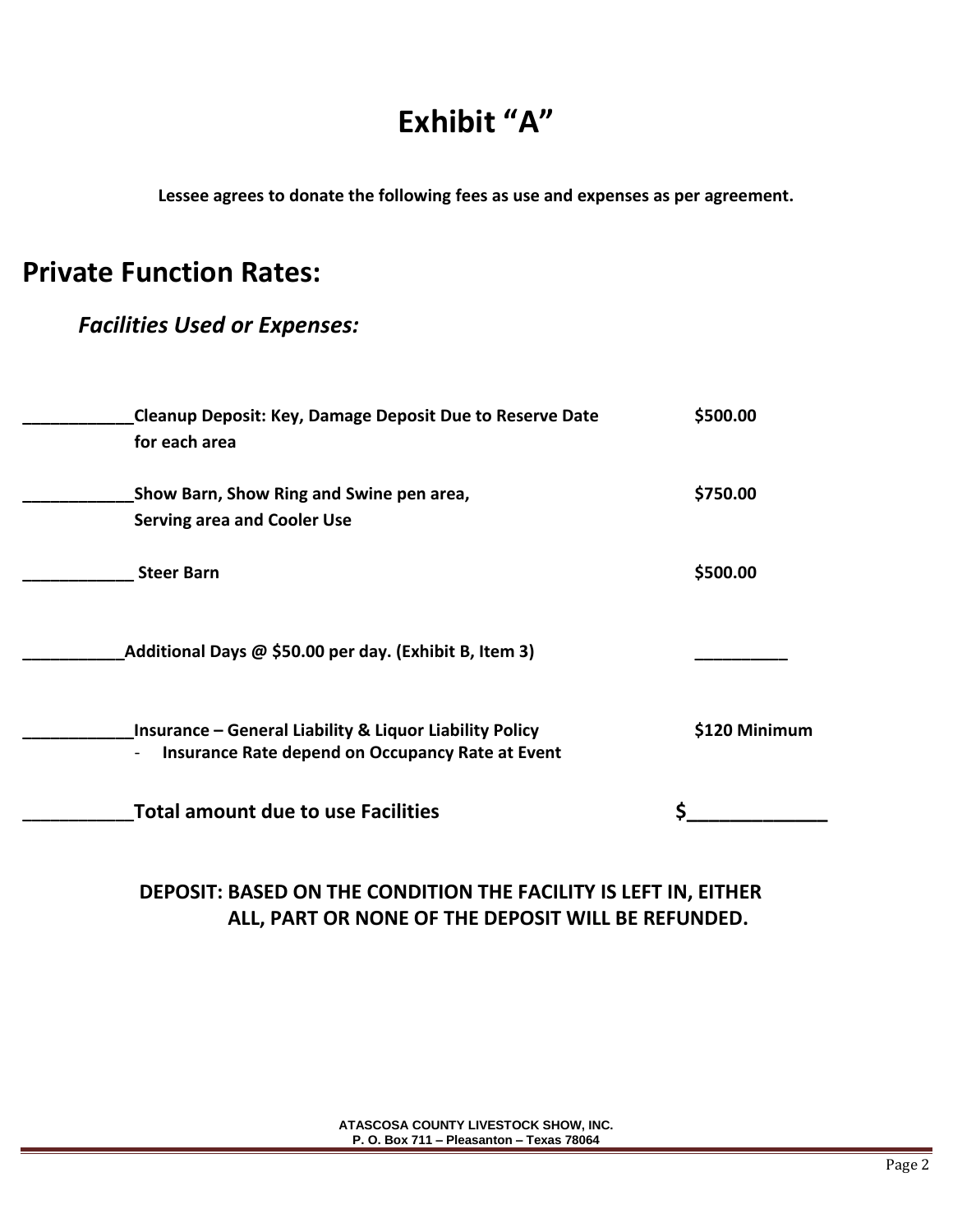## **Exhibit "A"**

**Lessee agrees to donate the following fees as use and expenses as per agreement.**

## **Private Function Rates:**

## *Facilities Used or Expenses:*

| <b>Cleanup Deposit: Key, Damage Deposit Due to Reserve Date</b><br>for each area                                       | \$500.00      |
|------------------------------------------------------------------------------------------------------------------------|---------------|
| Show Barn, Show Ring and Swine pen area,                                                                               | \$750.00      |
| <b>Serving area and Cooler Use</b>                                                                                     |               |
| <b>Steer Barn</b>                                                                                                      | \$500.00      |
| Additional Days @ \$50.00 per day. (Exhibit B, Item 3)                                                                 |               |
| <b>Insurance - General Liability &amp; Liquor Liability Policy</b><br>Insurance Rate depend on Occupancy Rate at Event | \$120 Minimum |
| <b>Total amount due to use Facilities</b>                                                                              |               |

## **DEPOSIT: BASED ON THE CONDITION THE FACILITY IS LEFT IN, EITHER ALL, PART OR NONE OF THE DEPOSIT WILL BE REFUNDED.**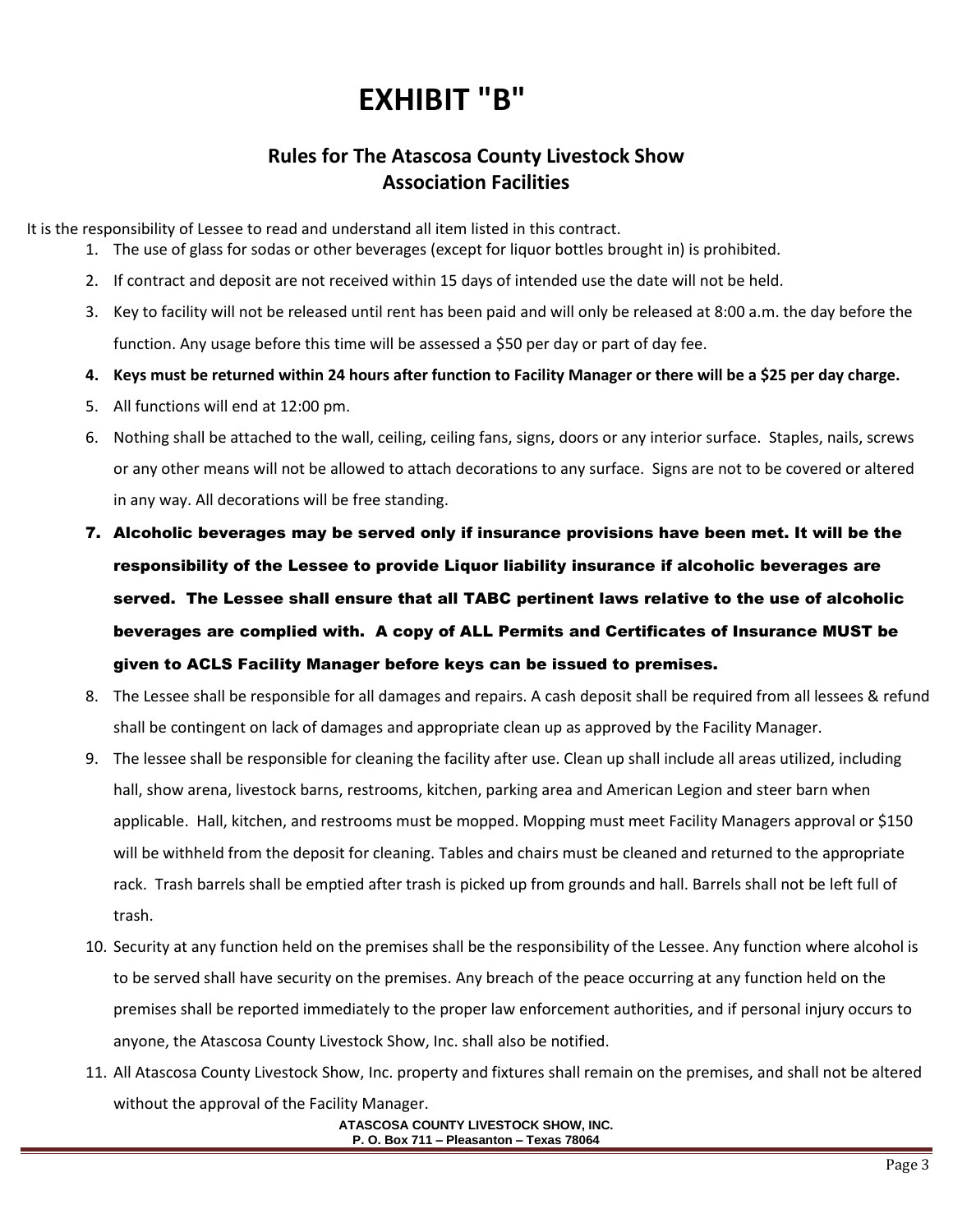# **EXHIBIT "B"**

### **Rules for The Atascosa County Livestock Show Association Facilities**

It is the responsibility of Lessee to read and understand all item listed in this contract.

- 1. The use of glass for sodas or other beverages (except for liquor bottles brought in) is prohibited.
- 2. If contract and deposit are not received within 15 days of intended use the date will not be held.
- 3. Key to facility will not be released until rent has been paid and will only be released at 8:00 a.m. the day before the function. Any usage before this time will be assessed a \$50 per day or part of day fee.
- **4. Keys must be returned within 24 hours after function to Facility Manager or there will be a \$25 per day charge.**
- 5. All functions will end at 12:00 pm.
- 6. Nothing shall be attached to the wall, ceiling, ceiling fans, signs, doors or any interior surface. Staples, nails, screws or any other means will not be allowed to attach decorations to any surface. Signs are not to be covered or altered in any way. All decorations will be free standing.
- 7. Alcoholic beverages may be served only if insurance provisions have been met. It will be the responsibility of the Lessee to provide Liquor liability insurance if alcoholic beverages are served. The Lessee shall ensure that all TABC pertinent laws relative to the use of alcoholic beverages are complied with. A copy of ALL Permits and Certificates of Insurance MUST be given to ACLS Facility Manager before keys can be issued to premises.
- 8. The Lessee shall be responsible for all damages and repairs. A cash deposit shall be required from all lessees & refund shall be contingent on lack of damages and appropriate clean up as approved by the Facility Manager.
- 9. The lessee shall be responsible for cleaning the facility after use. Clean up shall include all areas utilized, including hall, show arena, livestock barns, restrooms, kitchen, parking area and American Legion and steer barn when applicable. Hall, kitchen, and restrooms must be mopped. Mopping must meet Facility Managers approval or \$150 will be withheld from the deposit for cleaning. Tables and chairs must be cleaned and returned to the appropriate rack. Trash barrels shall be emptied after trash is picked up from grounds and hall. Barrels shall not be left full of trash.
- 10. Security at any function held on the premises shall be the responsibility of the Lessee. Any function where alcohol is to be served shall have security on the premises. Any breach of the peace occurring at any function held on the premises shall be reported immediately to the proper law enforcement authorities, and if personal injury occurs to anyone, the Atascosa County Livestock Show, Inc. shall also be notified.
- 11. All Atascosa County Livestock Show, Inc. property and fixtures shall remain on the premises, and shall not be altered without the approval of the Facility Manager.

**ATASCOSA COUNTY LIVESTOCK SHOW, INC. P. O. Box 711 – Pleasanton – Texas 78064**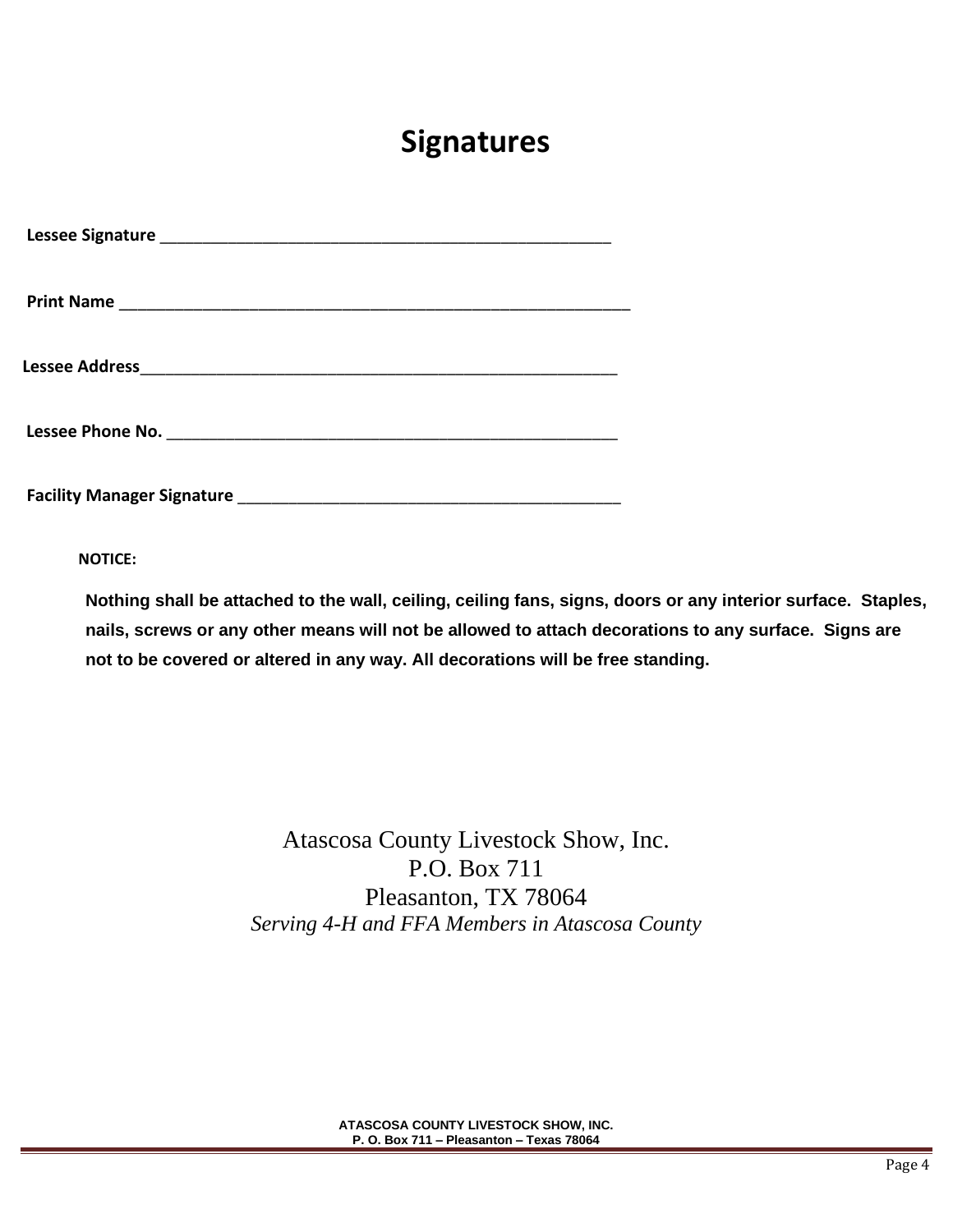## **Signatures**

**Facility Manager Signature** \_\_\_\_\_\_\_\_\_\_\_\_\_\_\_\_\_\_\_\_\_\_\_\_\_\_\_\_\_\_\_\_\_\_\_\_\_\_\_\_\_\_\_\_\_

**NOTICE:**

**Nothing shall be attached to the wall, ceiling, ceiling fans, signs, doors or any interior surface. Staples, nails, screws or any other means will not be allowed to attach decorations to any surface. Signs are not to be covered or altered in any way. All decorations will be free standing.** 

> Atascosa County Livestock Show, Inc. P.O. Box 711 Pleasanton, TX 78064 *Serving 4-H and FFA Members in Atascosa County*